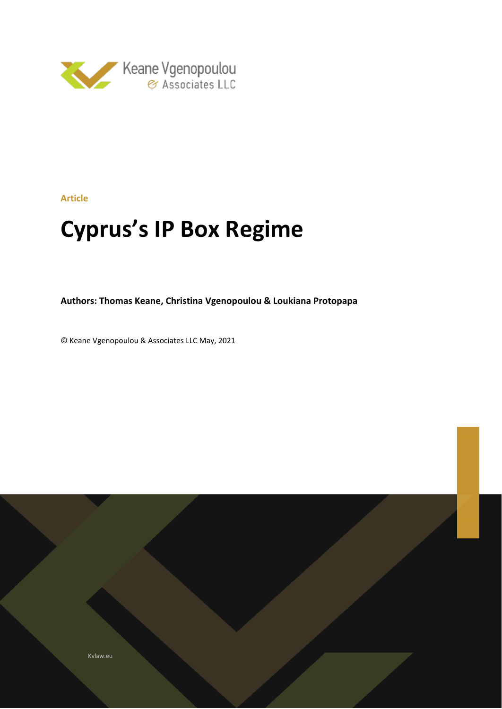

**Article**

# **Cyprus's IP Box Regime**

**Authors: Thomas Keane, Christina Vgenopoulou & Loukiana Protopapa**

© Keane Vgenopoulou & Associates LLC May, 2021

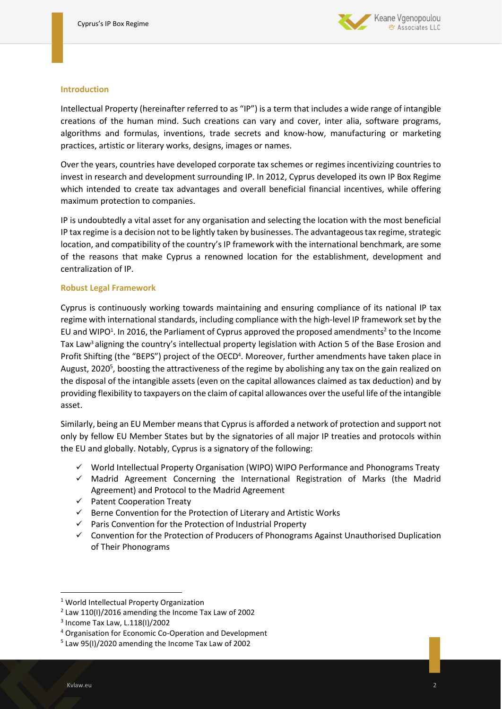

#### **Introduction**

Intellectual Property (hereinafter referred to as "IP") is a term that includes a wide range of intangible creations of the human mind. Such creations can vary and cover, inter alia, software programs, algorithms and formulas, inventions, trade secrets and know-how, manufacturing or marketing practices, artistic or literary works, designs, images or names.

Over the years, countries have developed corporate tax schemes or regimes incentivizing countries to invest in research and development surrounding IP. In 2012, Cyprus developed its own IP Box Regime which intended to create tax advantages and overall beneficial financial incentives, while offering maximum protection to companies.

IP is undoubtedly a vital asset for any organisation and selecting the location with the most beneficial IP tax regime is a decision not to be lightly taken by businesses. The advantageous tax regime, strategic location, and compatibility of the country's IP framework with the international benchmark, are some of the reasons that make Cyprus a renowned location for the establishment, development and centralization of IP.

#### **Robust Legal Framework**

Cyprus is continuously working towards maintaining and ensuring compliance of its national IP tax regime with international standards, including compliance with the high-level IP framework set by the EU and WIPO<sup>1</sup>. In 2016, the Parliament of Cyprus approved the proposed amendments<sup>2</sup> to the Income Tax Law<sup>3</sup> aligning the country's intellectual property legislation with Action 5 of the Base Erosion and Profit Shifting (the "BEPS") project of the OECD<sup>4</sup>. Moreover, further amendments have taken place in August, 2020<sup>5</sup>, boosting the attractiveness of the regime by abolishing any tax on the gain realized on the disposal of the intangible assets (even on the capital allowances claimed as tax deduction) and by providing flexibility to taxpayers on the claim of capital allowances over the useful life of the intangible asset.

Similarly, being an EU Member means that Cyprus is afforded a network of protection and support not only by fellow EU Member States but by the signatories of all major IP treaties and protocols within the EU and globally. Notably, Cyprus is a signatory of the following:

- $\checkmark$  World Intellectual Property Organisation (WIPO) WIPO Performance and Phonograms Treaty
- $\checkmark$  Madrid Agreement Concerning the International Registration of Marks (the Madrid Agreement) and Protocol to the Madrid Agreement
- ✓ Patent Cooperation Treaty
- $\checkmark$  Berne Convention for the Protection of Literary and Artistic Works
- ✓ Paris Convention for the Protection of Industrial Property
- ✓ Convention for the Protection of Producers of Phonograms Against Unauthorised Duplication of Their Phonograms

<sup>1</sup> World Intellectual Property Organization

 $2$  Law 110(I)/2016 amending the Income Tax Law of 2002

<sup>3</sup> Income Tax Law, L.118(I)/2002

<sup>4</sup> Organisation for Economic Co-Operation and Development

<sup>5</sup> Law 95(I)/2020 amending the Income Tax Law of 2002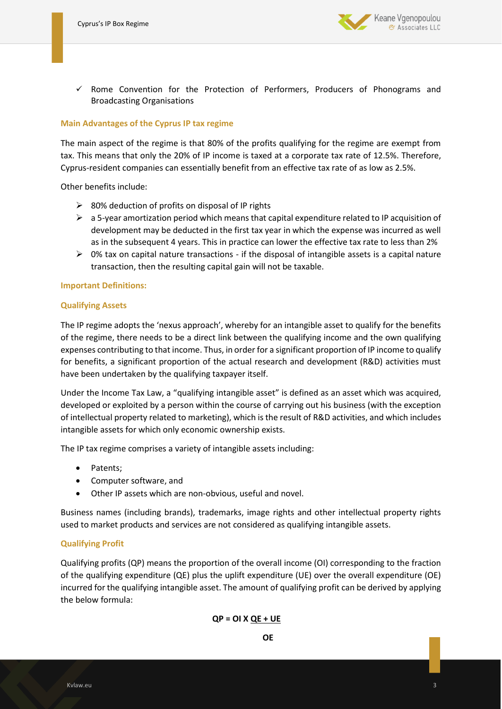

 $\checkmark$  Rome Convention for the Protection of Performers, Producers of Phonograms and Broadcasting Organisations

### **Main Advantages of the Cyprus IP tax regime**

The main aspect of the regime is that 80% of the profits qualifying for the regime are exempt from tax. This means that only the 20% of IP income is taxed at a corporate tax rate of 12.5%. Therefore, Cyprus-resident companies can essentially benefit from an effective tax rate of as low as 2.5%.

Other benefits include:

- $\geq$  80% deduction of profits on disposal of IP rights
- $\triangleright$  a 5-year amortization period which means that capital expenditure related to IP acquisition of development may be deducted in the first tax year in which the expense was incurred as well as in the subsequent 4 years. This in practice can lower the effective tax rate to less than 2%
- $\triangleright$  0% tax on capital nature transactions if the disposal of intangible assets is a capital nature transaction, then the resulting capital gain will not be taxable.

#### **Important Definitions:**

#### **Qualifying Assets**

The IP regime adopts the 'nexus approach', whereby for an intangible asset to qualify for the benefits of the regime, there needs to be a direct link between the qualifying income and the own qualifying expenses contributing to that income. Thus, in order for a significant proportion of IP income to qualify for benefits, a significant proportion of the actual research and development (R&D) activities must have been undertaken by the qualifying taxpayer itself.

Under the Income Tax Law, a "qualifying intangible asset" is defined as an asset which was acquired, developed or exploited by a person within the course of carrying out his business (with the exception of intellectual property related to marketing), which is the result of R&D activities, and which includes intangible assets for which only economic ownership exists.

The IP tax regime comprises a variety of intangible assets including:

- Patents;
- Computer software, and
- Other IP assets which are non-obvious, useful and novel.

Business names (including brands), trademarks, image rights and other intellectual property rights used to market products and services are not considered as qualifying intangible assets.

#### **Qualifying Profit**

Qualifying profits (QP) means the proportion of the overall income (OI) corresponding to the fraction of the qualifying expenditure (QE) plus the uplift expenditure (UE) over the overall expenditure (OE) incurred for the qualifying intangible asset. The amount of qualifying profit can be derived by applying the below formula:

#### **QP = OI X QE + UE**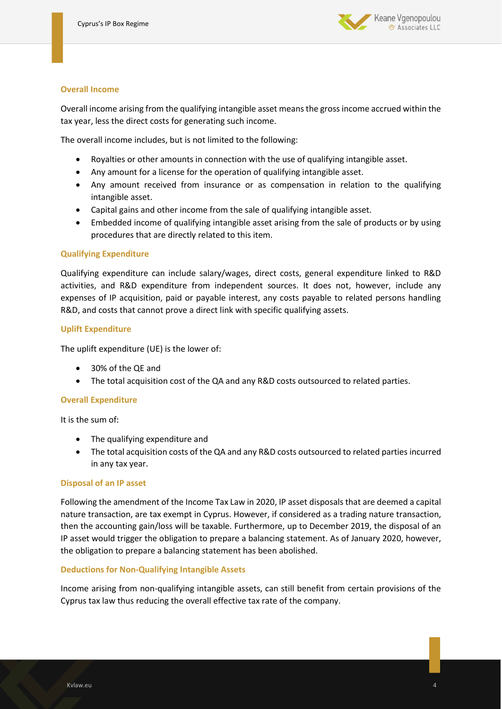

#### **Overall Income**

Overall income arising from the qualifying intangible asset means the gross income accrued within the tax year, less the direct costs for generating such income.

The overall income includes, but is not limited to the following:

- Royalties or other amounts in connection with the use of qualifying intangible asset.
- Any amount for a license for the operation of qualifying intangible asset.
- Any amount received from insurance or as compensation in relation to the qualifying intangible asset.
- Capital gains and other income from the sale of qualifying intangible asset.
- Embedded income of qualifying intangible asset arising from the sale of products or by using procedures that are directly related to this item.

## **Qualifying Expenditure**

Qualifying expenditure can include salary/wages, direct costs, general expenditure linked to R&D activities, and R&D expenditure from independent sources. It does not, however, include any expenses of IP acquisition, paid or payable interest, any costs payable to related persons handling R&D, and costs that cannot prove a direct link with specific qualifying assets.

## **Uplift Expenditure**

The uplift expenditure (UE) is the lower of:

- 30% of the QE and
- The total acquisition cost of the QA and any R&D costs outsourced to related parties.

# **Overall Expenditure**

It is the sum of:

- The qualifying expenditure and
- The total acquisition costs of the QA and any R&D costs outsourced to related parties incurred in any tax year.

#### **Disposal of an IP asset**

Following the amendment of the Income Tax Law in 2020, IP asset disposals that are deemed a capital nature transaction, are tax exempt in Cyprus. However, if considered as a trading nature transaction, then the accounting gain/loss will be taxable. Furthermore, up to December 2019, the disposal of an IP asset would trigger the obligation to prepare a balancing statement. As of January 2020, however, the obligation to prepare a balancing statement has been abolished.

#### **Deductions for Non-Qualifying Intangible Assets**

Income arising from non-qualifying intangible assets, can still benefit from certain provisions of the Cyprus tax law thus reducing the overall effective tax rate of the company.